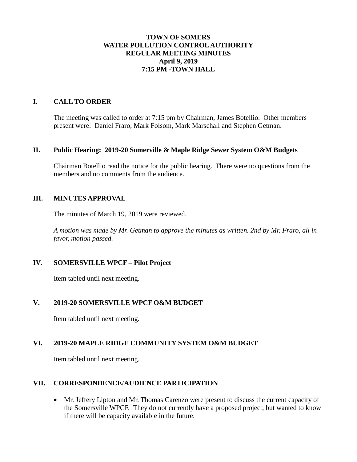## **TOWN OF SOMERS WATER POLLUTION CONTROL AUTHORITY REGULAR MEETING MINUTES April 9, 2019 7:15 PM -TOWN HALL**

#### **I. CALL TO ORDER**

The meeting was called to order at 7:15 pm by Chairman, James Botellio. Other members present were: Daniel Fraro, Mark Folsom, Mark Marschall and Stephen Getman.

#### **II. Public Hearing: 2019-20 Somerville & Maple Ridge Sewer System O&M Budgets**

Chairman Botellio read the notice for the public hearing. There were no questions from the members and no comments from the audience.

#### **III. MINUTES APPROVAL**

The minutes of March 19, 2019 were reviewed.

*A motion was made by Mr. Getman to approve the minutes as written. 2nd by Mr. Fraro, all in favor, motion passed.*

## **IV. SOMERSVILLE WPCF – Pilot Project**

Item tabled until next meeting.

#### **V. 2019-20 SOMERSVILLE WPCF O&M BUDGET**

Item tabled until next meeting.

# **VI. 2019-20 MAPLE RIDGE COMMUNITY SYSTEM O&M BUDGET**

Item tabled until next meeting.

### **VII. CORRESPONDENCE**/**AUDIENCE PARTICIPATION**

 Mr. Jeffery Lipton and Mr. Thomas Carenzo were present to discuss the current capacity of the Somersville WPCF. They do not currently have a proposed project, but wanted to know if there will be capacity available in the future.